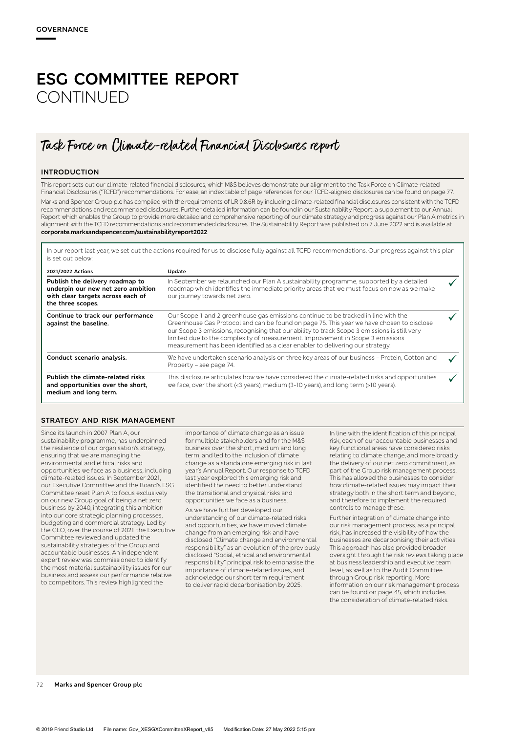# **ESG COMMITTEE REPORT CONTINUED**

## Task Force on Climate-related Financial Disclosures report

#### **INTRODUCTION**

This report sets out our climate-related financial disclosures, which M&S believes demonstrate our alignment to the Task Force on Climate-related Financial Disclosures ("TCFD") recommendations. For ease, an index table of page references for our TCFD-aligned disclosures can be found on page 77. Marks and Spencer Group plc has complied with the requirements of LR 9.8.6R by including climate-related financial disclosures consistent with the TCFD recommendations and recommended disclosures. Further detailed information can be found in our Sustainability Report, a supplement to our Annual Report which enables the Group to provide more detailed and comprehensive reporting of our climate strategy and progress against our Plan A metrics in alignment with the TCFD recommendations and recommended disclosures. The Sustainability Report was published on 7 June 2022 and is available at **corporate.marksandspencer.com/sustainabilityreport2022**.

In our report last year, we set out the actions required for us to disclose fully against all TCFD recommendations. Our progress against this plan is set out below:

| 2021/2022 Actions                                                                                                               | Update                                                                                                                                                                                                                                                                                                                                                                                                                                              |  |
|---------------------------------------------------------------------------------------------------------------------------------|-----------------------------------------------------------------------------------------------------------------------------------------------------------------------------------------------------------------------------------------------------------------------------------------------------------------------------------------------------------------------------------------------------------------------------------------------------|--|
| Publish the delivery roadmap to<br>underpin our new net zero ambition<br>with clear targets across each of<br>the three scopes. | In September we relaunched our Plan A sustainability programme, supported by a detailed<br>roadmap which identifies the immediate priority areas that we must focus on now as we make<br>our journey towards net zero.                                                                                                                                                                                                                              |  |
| Continue to track our performance<br>against the baseline.                                                                      | Our Scope 1 and 2 greenhouse gas emissions continue to be tracked in line with the<br>Greenhouse Gas Protocol and can be found on page 75. This year we have chosen to disclose<br>our Scope 3 emissions, recognising that our ability to track Scope 3 emissions is still very<br>limited due to the complexity of measurement. Improvement in Scope 3 emissions<br>measurement has been identified as a clear enabler to delivering our strategy. |  |
| Conduct scenario analysis.                                                                                                      | We have undertaken scenario analysis on three key areas of our business - Protein, Cotton and<br>Property - see page 74.                                                                                                                                                                                                                                                                                                                            |  |
| Publish the climate-related risks<br>and opportunities over the short,<br>medium and long term.                                 | This disclosure articulates how we have considered the climate-related risks and opportunities<br>we face, over the short (<3 years), medium (3-10 years), and long term (>10 years).                                                                                                                                                                                                                                                               |  |

#### **STRATEGY AND RISK MANAGEMENT**

Since its launch in 2007 Plan A, our sustainability programme, has underpinned the resilience of our organisation's strategy, ensuring that we are managing the environmental and ethical risks and opportunities we face as a business, including climate-related issues. In September 2021, our Executive Committee and the Board's ESG Committee reset Plan A to focus exclusively on our new Group goal of being a net zero business by 2040, integrating this ambition into our core strategic planning processes, budgeting and commercial strategy. Led by the CEO, over the course of 2021 the Executive Committee reviewed and updated the sustainability strategies of the Group and accountable businesses. An independent expert review was commissioned to identify the most material sustainability issues for our business and assess our performance relative to competitors. This review highlighted the

importance of climate change as an issue for multiple stakeholders and for the M&S business over the short, medium and long term, and led to the inclusion of climate change as a standalone emerging risk in last year's Annual Report. Our response to TCFD last year explored this emerging risk and identified the need to better understand the transitional and physical risks and opportunities we face as a business.

As we have further developed our understanding of our climate-related risks and opportunities, we have moved climate change from an emerging risk and have disclosed "Climate change and environmental responsibility" as an evolution of the previously disclosed "Social, ethical and environmental responsibility" principal risk to emphasise the importance of climate-related issues, and acknowledge our short term requirement to deliver rapid decarbonisation by 2025.

In line with the identification of this principal risk, each of our accountable businesses and key functional areas have considered risks relating to climate change, and more broadly the delivery of our net zero commitment, as part of the Group risk management process. This has allowed the businesses to consider how climate-related issues may impact their strategy both in the short term and beyond, and therefore to implement the required controls to manage these.

Further integration of climate change into our risk management process, as a principal risk, has increased the visibility of how the businesses are decarbonising their activities. This approach has also provided broader oversight through the risk reviews taking place at business leadership and executive team level, as well as to the Audit Committee through Group risk reporting. More information on our risk management process can be found on page 45, which includes the consideration of climate-related risks.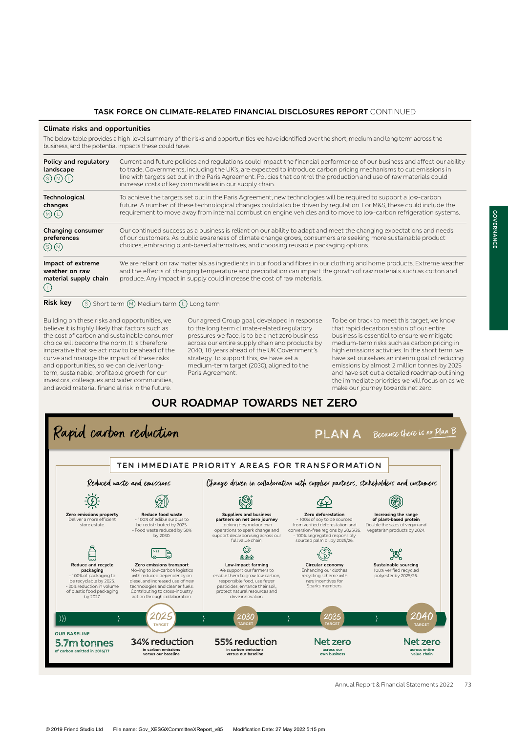### **TASK FORCE ON CLIMATE-RELATED FINANCIAL DISCLOSURES REPORT** CONTINUED

#### **Climate risks and opportunities**

The below table provides a high-level summary of the risks and opportunities we have identified over the short, medium and long term across the business, and the potential impacts these could have.

| Policy and regulatory<br>landscape                                  | Current and future policies and regulations could impact the financial performance of our business and affect our ability<br>to trade. Governments, including the UK's, are expected to introduce carbon pricing mechanisms to cut emissions in<br>line with targets set out in the Paris Agreement. Policies that control the production and use of raw materials could<br>increase costs of key commodities in our supply chain. |
|---------------------------------------------------------------------|------------------------------------------------------------------------------------------------------------------------------------------------------------------------------------------------------------------------------------------------------------------------------------------------------------------------------------------------------------------------------------------------------------------------------------|
| <b>Technological</b><br>changes<br>(M)(L)                           | To achieve the targets set out in the Paris Agreement, new technologies will be required to support a low-carbon<br>future. A number of these technological changes could also be driven by regulation. For M&S, these could include the<br>requirement to move away from internal combustion engine vehicles and to move to low-carbon refrigeration systems.                                                                     |
| <b>Changing consumer</b><br>preferences<br>(s)(M)                   | Our continued success as a business is reliant on our ability to adapt and meet the changing expectations and needs<br>of our customers. As public awareness of climate change grows, consumers are seeking more sustainable product<br>choices, embracing plant-based alternatives, and choosing reusable packaging options.                                                                                                      |
| Impact of extreme<br>weather on raw<br>material supply chain<br>(L) | We are reliant on raw materials as ingredients in our food and fibres in our clothing and home products. Extreme weather<br>and the effects of changing temperature and precipitation can impact the growth of raw materials such as cotton and<br>produce. Any impact in supply could increase the cost of raw materials.                                                                                                         |
| <b>Risk key</b>                                                     | (S) Short term (M) Medium term (L) Long term                                                                                                                                                                                                                                                                                                                                                                                       |

Building on these risks and opportunities, we believe it is highly likely that factors such as the cost of carbon and sustainable consumer choice will become the norm. It is therefore imperative that we act now to be ahead of the curve and manage the impact of these risks and opportunities, so we can deliver longterm, sustainable, profitable growth for our investors, colleagues and wider communities, and avoid material financial risk in the future.

Our agreed Group goal, developed in response to the long term climate-related regulatory pressures we face, is to be a net zero business across our entire supply chain and products by 2040, 10 years ahead of the UK Government's strategy. To support this, we have set a medium-term target (2030), aligned to the Paris Agreement.

To be on track to meet this target, we know that rapid decarbonisation of our entire business is essential to ensure we mitigate medium-term risks such as carbon pricing in high emissions activities. In the short term, we have set ourselves an interim goal of reducing emissions by almost 2 million tonnes by 2025 and have set out a detailed roadmap outlining the immediate priorities we will focus on as we make our journey towards net zero.

## **OUR ROADMAP TOWARDS NET ZERO**

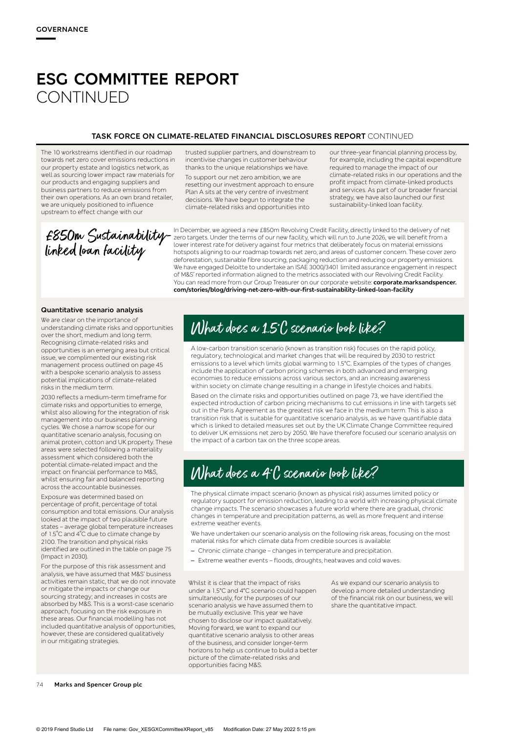## **ESG COMMITTEE REPORT CONTINUED**

### **TASK FORCE ON CLIMATE-RELATED FINANCIAL DISCLOSURES REPORT** CONTINUED

The 10 workstreams identified in our roadmap towards net zero cover emissions reductions in our property estate and logistics network, as well as sourcing lower impact raw materials for our products and engaging suppliers and business partners to reduce emissions from their own operations. As an own brand retailer, we are uniquely positioned to influence upstream to effect change with our

trusted supplier partners, and downstream to incentivise changes in customer behaviour thanks to the unique relationships we have.

To support our net zero ambition, we are resetting our investment approach to ensure Plan A sits at the very centre of investment decisions. We have begun to integrate the climate-related risks and opportunities into

our three-year financial planning process by, for example, including the capital expenditure required to manage the impact of our climate-related risks in our operations and the profit impact from climate-linked products and services. As part of our broader financial strategy, we have also launched our first sustainability-linked loan facility.

£850m Sustainabilitylinked loan facility

In December, we agreed a new £850m Revolving Credit Facility, directly linked to the delivery of net zero targets. Under the terms of our new facility, which will run to June 2026, we will benefit from a lower interest rate for delivery against four metrics that deliberately focus on material emissions hotspots aligning to our roadmap towards net zero, and areas of customer concern. These cover zero deforestation, sustainable fibre sourcing, packaging reduction and reducing our property emissions. We have engaged Deloitte to undertake an ISAE 3000/3401 limited assurance engagement in respect of M&S' reported information aligned to the metrics associated with our Revolving Credit Facility. You can read more from our Group Treasurer on our corporate website: **corporate.marksandspencer. com/stories/blog/driving-net-zero-with-our-first-sustainability-linked-loan-facility**

#### **Quantitative scenario analysis**

We are clear on the importance of understanding climate risks and opportunities over the short, medium and long term. Recognising climate-related risks and opportunities is an emerging area but critical issue, we complimented our existing risk management process outlined on page 45 with a bespoke scenario analysis to assess potential implications of climate-related risks in the medium term.

2030 reflects a medium-term timeframe for climate risks and opportunities to emerge, whilst also allowing for the integration of risk management into our business planning cycles. We chose a narrow scope for our quantitative scenario analysis, focusing on animal protein, cotton and UK property. These areas were selected following a materiality assessment which considered both the potential climate-related impact and the impact on financial performance to M&S, whilst ensuring fair and balanced reporting across the accountable businesses.

Exposure was determined based on percentage of profit, percentage of total consumption and total emissions. Our analysis looked at the impact of two plausible future states – average global temperature increases of 1.5˚C and 4˚C due to climate change by 2100. The transition and physical risks identified are outlined in the table on page 75 (Impact in 2030).

For the purpose of this risk assessment and analysis, we have assumed that M&S' business activities remain static, that we do not innovate or mitigate the impacts or change our sourcing strategy; and increases in costs are absorbed by M&S. This is a worst-case scenario approach, focusing on the risk exposure in these areas. Our financial modelling has not included quantitative analysis of opportunities, however, these are considered qualitatively in our mitigating strategies.

## What does a 1.5˚C scenario look like?

A low-carbon transition scenario (known as transition risk) focuses on the rapid policy, regulatory, technological and market changes that will be required by 2030 to restrict emissions to a level which limits global warming to 1.5°C. Examples of the types of changes include the application of carbon pricing schemes in both advanced and emerging economies to reduce emissions across various sectors, and an increasing awareness within society on climate change resulting in a change in lifestyle choices and habits.

Based on the climate risks and opportunities outlined on page 73, we have identified the expected introduction of carbon pricing mechanisms to cut emissions in line with targets set out in the Paris Agreement as the greatest risk we face in the medium term. This is also a transition risk that is suitable for quantitative scenario analysis, as we have quantifiable data which is linked to detailed measures set out by the UK Climate Change Committee required to deliver UK emissions net zero by 2050. We have therefore focused our scenario analysis on the impact of a carbon tax on the three scope areas.

## What does a 4˚C scenario look like?

The physical climate impact scenario (known as physical risk) assumes limited policy or regulatory support for emission reduction, leading to a world with increasing physical climate change impacts. The scenario showcases a future world where there are gradual, chronic changes in temperature and precipitation patterns, as well as more frequent and intense extreme weather events.

We have undertaken our scenario analysis on the following risk areas, focusing on the most material risks for which climate data from credible sources is available:

- Chronic climate change changes in temperature and precipitation.
- Extreme weather events floods, droughts, heatwaves and cold waves.

Whilst it is clear that the impact of risks under a 1.5°C and 4°C scenario could happen simultaneously, for the purposes of our scenario analysis we have assumed them to be mutually exclusive. This year we have chosen to disclose our impact qualitatively. Moving forward, we want to expand our quantitative scenario analysis to other areas of the business, and consider longer-term horizons to help us continue to build a better picture of the climate-related risks and opportunities facing M&S.

As we expand our scenario analysis to develop a more detailed understanding of the financial risk on our business, we will share the quantitative impact.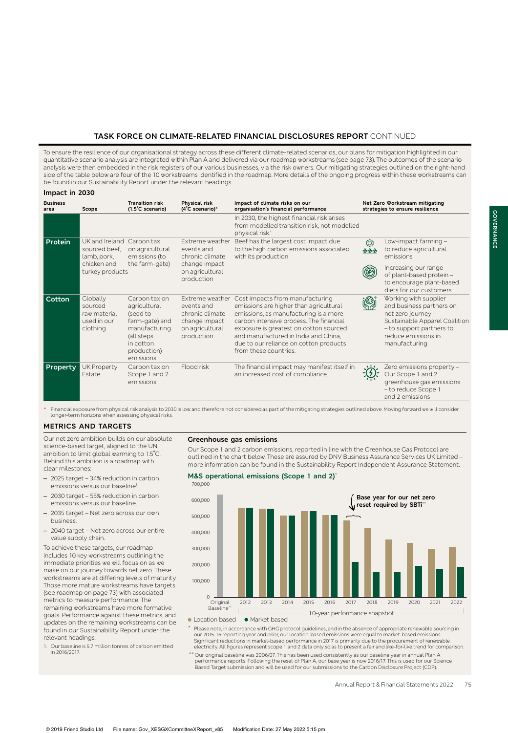## **TASK FORCE ON CLIMATE-RELATED FINANCIAL DISCLOSURES REPORT** CONTINUED

To ensure the resilience of our organisational strategy across these different climate-related scenarios, our plans for mitigation highlighted in our quantitative scenario analysis are integrated within Plan A and delivered via our roadmap workstreams (see page 73). The outcomes of the scenario analysis were then embedded in the risk registers of our various businesses, via the risk owners. Our mitigating strategies outlined on the right-hand side of the table below are four of the 10 workstreams identified in the roadmap. More details of the ongoing progress within these workstreams can be found in our Sustainability Report under the relevant headings.

#### **Impact in 2030**

| <b>Business</b><br>area | Scope                                                                            | <b>Transition risk</b><br>$(1.5^{\circ}C$ scenario)                                                                                 | <b>Physical risk</b><br>$(4^{\circ}C$ scenario)*                                                   | Impact of climate risks on our<br>organisation's financial performance                                                                                                                                                                                                                                             |                                | Net Zero Workstream mitigating<br>strategies to ensure resilience                                                                                                            |
|-------------------------|----------------------------------------------------------------------------------|-------------------------------------------------------------------------------------------------------------------------------------|----------------------------------------------------------------------------------------------------|--------------------------------------------------------------------------------------------------------------------------------------------------------------------------------------------------------------------------------------------------------------------------------------------------------------------|--------------------------------|------------------------------------------------------------------------------------------------------------------------------------------------------------------------------|
|                         |                                                                                  |                                                                                                                                     |                                                                                                    | In 2030, the highest financial risk arises<br>from modelled transition risk, not modelled<br>physical risk.*                                                                                                                                                                                                       |                                |                                                                                                                                                                              |
| Protein                 | UK and Ireland<br>sourced beef.<br>lamb, pork,<br>chicken and<br>turkey products | Carbon tax<br>on agricultural<br>emissions (to<br>the farm-gate)                                                                    | Extreme weather<br>events and<br>chronic climate<br>change impact<br>on agricultural<br>production | Beef has the largest cost impact due<br>to the high carbon emissions associated<br>with its production.                                                                                                                                                                                                            | ♦<br>$\circledast \circledast$ | Low-impact farming -<br>to reduce agricultural<br>emissions<br>Increasing our range<br>of plant-based protein -<br>to encourage plant-based<br>diets for our customers       |
| <b>Cotton</b>           | Clobally<br>sourced<br>raw material<br>used in our<br>clothing                   | Carbon tax on<br>agricultural<br>(seed to<br>farm-gate) and<br>manufacturing<br>(all steps<br>in cotton<br>production)<br>emissions | Extreme weather<br>events and<br>chronic climate<br>change impact<br>on agricultural<br>production | Cost impacts from manufacturing<br>emissions are higher than agricultural<br>emissions, as manufacturing is a more<br>carbon intensive process. The financial<br>exposure is greatest on cotton sourced<br>and manufactured in India and China,<br>due to our reliance on cotton products<br>from these countries. | Ś.                             | Working with supplier<br>and business partners on<br>net zero journey -<br>Sustainable Apparel Coalition<br>- to support partners to<br>reduce emissions in<br>manufacturing |
| Property                | <b>UK Property</b><br>Estate                                                     | Carbon tax on<br>Scope 1 and 2<br>emissions                                                                                         | Flood risk                                                                                         | The financial impact may manifest itself in<br>an increased cost of compliance.                                                                                                                                                                                                                                    |                                | Zero emissions property -<br>Our Scope 1 and 2<br>greenhouse gas emissions<br>- to reduce Scope 1<br>and 2 emissions                                                         |

Financial exposure from physical risk analysis to 2030 is low and therefore not considered as part of the mitigating strategies outlined above. Moving forward we will consider longer-term horizons when assessing physical r

**M&S operational emissions (Scope 1 and 2)\***

### **METRICS AND TARGETS**

Our net zero ambition builds on our absolute science-based target, aligned to the UN ambition to limit global warming to 1.5˚C. Behind this ambition is a roadmap with clear milestones:

- 2025 target 34% reduction in carbon emissions versus our baseline<sup>1</sup> .
- 2030 target 55% reduction in carbon emissions versus our baseline.
- 2035 target Net zero across our own business.
- 2040 target Net zero across our entire value supply chain.

To achieve these targets, our roadmap includes 10 key workstreams outlining the immediate priorities we will focus on as we make on our journey towards net zero. These workstreams are at differing levels of maturity. Those more mature workstreams have targets (see roadmap on page 73) with associated metrics to measure performance. The remaining workstreams have more formative goals. Performance against these metrics, and updates on the remaining workstreams can be found in our Sustainability Report under the relevant headings.

1. Our baseline is 5.7 million tonnes of carbon emitted in 2016/2017.

#### **Greenhouse gas emissions**

Our Scope 1 and 2 carbon emissions, reported in line with the Greenhouse Gas Protocol are outlined in the chart below. These are assured by DNV Business Assurance Services UK Limited – more information can be found in the Sustainability Report Independent Assurance Statement.



• Location based • Market based

\* Please note, in accordance with GHG protocol guidelines, and in the absence of appropriate renewable sourcing in our 2015-16 reporting year and prior, our location-based emissions were equal to market-based emissions. Significant reductions in market-based performance in 2017 is primarily due to the procurement of renewable electricity. All figures represent scope 1 and 2 data only so as to present a fair and like-for-like trend for comparison.

\*\* Our original baseline was 2006/07. This has been used consistently as our baseline year in annual Plan A performance reports. Following the reset of Plan A, our base year is now 2016/17. This is used for our Science Based Target submission and will be used for our submissions to the Carbon Disclosure Project (CDP).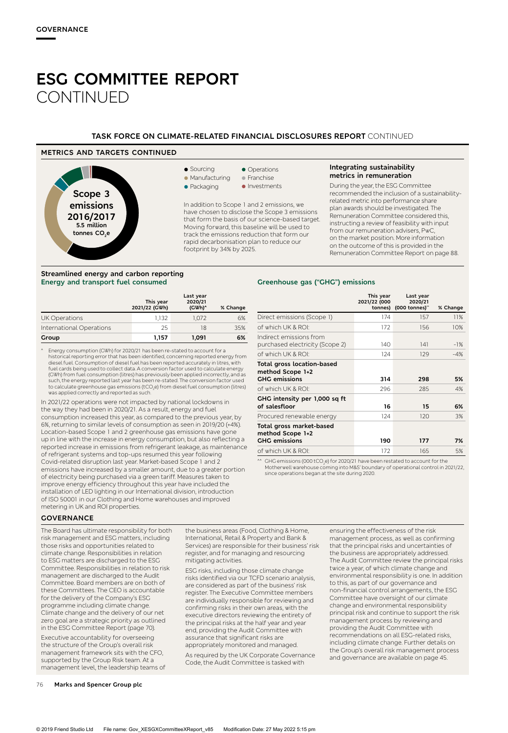## **ESG COMMITTEE REPORT CONTINUED**

### **TASK FORCE ON CLIMATE-RELATED FINANCIAL DISCLOSURES REPORT** CONTINUED

### **METRICS AND TARGETS CONTINUED**

**Streamlined energy and carbon reporting Energy and transport fuel consumed**



#### • Operations **•** Franchise

**Manufacturing** 

**•** Sourcing

 $\bullet$  Packaging • Investments

In addition to Scope 1 and 2 emissions, we have chosen to disclose the Scope 3 emissions that form the basis of our science-based target. Moving forward, this baseline will be used to track the emissions reduction that form our rapid decarbonisation plan to reduce our footprint by 34% by 2025.

#### **Integrating sustainability metrics in remuneration**

During the year, the ESG Committee recommended the inclusion of a sustainabilityrelated metric into performance share plan awards should be investigated. The Remuneration Committee considered this, instructing a review of feasibility with input from our remuneration advisers, PwC, on the market position. More information on the outcome of this is provided in the Remuneration Committee Report on page 88.

## **Greenhouse gas ("GHG") emissions**

|                          | This year<br>2021/22 (GWh) | Last year<br>2020/21<br>(GWh) <sup>^</sup> | % Change |
|--------------------------|----------------------------|--------------------------------------------|----------|
| <b>UK Operations</b>     | 1.132                      | 1.072                                      | 6%       |
| International Operations | 25                         | 18                                         | 35%      |
| Group                    | 1.157                      | 1,091                                      | 6%       |

^ Energy consumption (GWh) for 2020/21 has been re-stated to account for a historical reporting error that has been identified, concerning reported energy from diesel fuel. Consumption of diesel fuel has been reported accurately in litres, with fuel cards being used to collect data. A conversion factor used to calculate energy (CWh) from fuel consumption (litres) has previously been applied incorrectly, and as<br>such, the energy reported last year has been re-stated. The conversion factor used<br>to calculate greenhouse gas emissions (tCO<sub>2</sub>e) from d was applied correctly and reported as such.

In 2021/22 operations were not impacted by national lockdowns in the way they had been in 2020/21. As a result, energy and fuel consumption increased this year, as compared to the previous year, by 6%, returning to similar levels of consumption as seen in 2019/20 (+4%). Location-based Scope 1 and 2 greenhouse gas emissions have gone up in line with the increase in energy consumption, but also reflecting a reported increase in emissions from refrigerant leakage, as maintenance of refrigerant systems and top-ups resumed this year following Covid-related disruption last year. Market-based Scope 1 and 2 emissions have increased by a smaller amount, due to a greater portion of electricity being purchased via a green tariff. Measures taken to improve energy efficiency throughout this year have included the installation of LED lighting in our International division, introduction of ISO 50001 in our Clothing and Home warehouses and improved metering in UK and ROI properties.

|                                                                        | This year<br>2021/22 (000 | Last year<br>2020/21<br>tonnes) (000 tonnes)" | % Change |
|------------------------------------------------------------------------|---------------------------|-----------------------------------------------|----------|
| Direct emissions (Scope 1)                                             | 174                       | 157                                           | 11%      |
| of which UK & ROI:                                                     | 172                       | 156                                           | 10%      |
| Indirect emissions from<br>purchased electricity (Scope 2)             | 140                       | 4                                             | $-1%$    |
| of which UK & ROI:                                                     | 124                       | 129                                           | $-4%$    |
| Total gross location-based<br>method Scope 1+2<br><b>GHG</b> emissions | 314                       | 298                                           | 5%       |
| of which UK & ROI:                                                     | 296                       | 285                                           | 4%       |
| GHG intensity per 1,000 sq ft<br>of salesfloor                         | 16                        | 15                                            | 6%       |
| Procured renewable energy                                              | 124                       | 120                                           | 3%       |
| Total gross market-based<br>method Scope 1+2<br><b>GHG</b> emissions   | 190                       | 177                                           | 7%       |
| of which UK & ROI:                                                     | 172                       | 165                                           | 5%       |

 $\char`$  GHG emissions (000 tCO<sub>2</sub>e) for 2020/21 have been restated to account for the Motherwell warehouse coming into M&S' boundary of operational control in 2021/22, since operations began at the site during 2020.

#### **GOVERNANCE**

The Board has ultimate responsibility for both risk management and ESG matters, including those risks and opportunities related to climate change. Responsibilities in relation to ESG matters are discharged to the ESG Committee. Responsibilities in relation to risk management are discharged to the Audit Committee. Board members are on both of these Committees. The CEO is accountable for the delivery of the Company's ESG programme including climate change. Climate change and the delivery of our net zero goal are a strategic priority as outlined in the ESG Committee Report (page 70).

Executive accountability for overseeing the structure of the Group's overall risk management framework sits with the CFO, supported by the Group Risk team. At a management level, the leadership teams of

the business areas (Food, Clothing & Home, International, Retail & Property and Bank & Services) are responsible for their business' risk register, and for managing and resourcing mitigating activities.

ESG risks, including those climate change risks identified via our TCFD scenario analysis, are considered as part of the business' risk register. The Executive Committee members are individually responsible for reviewing and confirming risks in their own areas, with the executive directors reviewing the entirety of the principal risks at the half year and year end, providing the Audit Committee with assurance that significant risks are appropriately monitored and managed.

As required by the UK Corporate Governance Code, the Audit Committee is tasked with

ensuring the effectiveness of the risk management process, as well as confirming that the principal risks and uncertainties of the business are appropriately addressed. The Audit Committee review the principal risks twice a year, of which climate change and environmental responsibility is one. In addition to this, as part of our governance and non-financial control arrangements, the ESG Committee have oversight of our climate change and environmental responsibility principal risk and continue to support the risk management process by reviewing and providing the Audit Committee with recommendations on all ESG-related risks, including climate change. Further details on the Group's overall risk management process and governance are available on page 45.